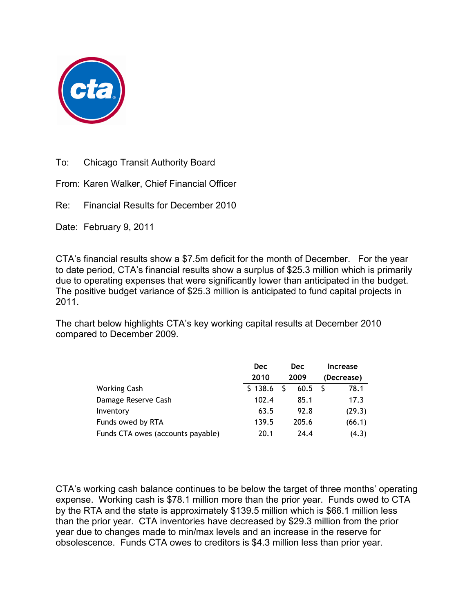

To: Chicago Transit Authority Board

From: Karen Walker, Chief Financial Officer

Re: Financial Results for December 2010

Date: February 9, 2011

CTA's financial results show a \$7.5m deficit for the month of December. For the year to date period, CTA's financial results show a surplus of \$25.3 million which is primarily due to operating expenses that were significantly lower than anticipated in the budget. The positive budget variance of \$25.3 million is anticipated to fund capital projects in 2011.

The chart below highlights CTA's key working capital results at December 2010 compared to December 2009.

|                                   | <b>Dec</b> | <b>Dec</b><br>2009 |       | Increase<br>(Decrease) |        |
|-----------------------------------|------------|--------------------|-------|------------------------|--------|
|                                   | 2010       |                    |       |                        |        |
| <b>Working Cash</b>               | \$138.6    |                    | 60.5  |                        | 78.1   |
| Damage Reserve Cash               | 102.4      |                    | 85.1  |                        | 17.3   |
| Inventory                         | 63.5       |                    | 92.8  |                        | (29.3) |
| Funds owed by RTA                 | 139.5      |                    | 205.6 |                        | (66.1) |
| Funds CTA owes (accounts payable) | 20.1       |                    | 24.4  |                        | (4.3)  |

CTA's working cash balance continues to be below the target of three months' operating expense. Working cash is \$78.1 million more than the prior year. Funds owed to CTA by the RTA and the state is approximately \$139.5 million which is \$66.1 million less than the prior year. CTA inventories have decreased by \$29.3 million from the prior year due to changes made to min/max levels and an increase in the reserve for obsolescence. Funds CTA owes to creditors is \$4.3 million less than prior year.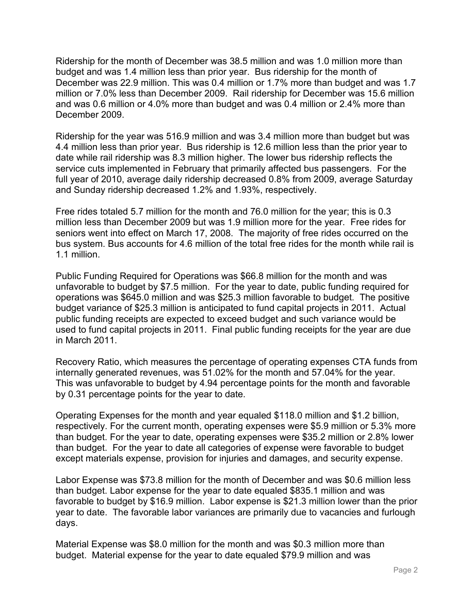Ridership for the month of December was 38.5 million and was 1.0 million more than budget and was 1.4 million less than prior year. Bus ridership for the month of December was 22.9 million. This was 0.4 million or 1.7% more than budget and was 1.7 million or 7.0% less than December 2009. Rail ridership for December was 15.6 million and was 0.6 million or 4.0% more than budget and was 0.4 million or 2.4% more than December 2009.

Ridership for the year was 516.9 million and was 3.4 million more than budget but was 4.4 million less than prior year. Bus ridership is 12.6 million less than the prior year to date while rail ridership was 8.3 million higher. The lower bus ridership reflects the service cuts implemented in February that primarily affected bus passengers. For the full year of 2010, average daily ridership decreased 0.8% from 2009, average Saturday and Sunday ridership decreased 1.2% and 1.93%, respectively.

Free rides totaled 5.7 million for the month and 76.0 million for the year; this is 0.3 million less than December 2009 but was 1.9 million more for the year. Free rides for seniors went into effect on March 17, 2008. The majority of free rides occurred on the bus system. Bus accounts for 4.6 million of the total free rides for the month while rail is 1.1 million.

Public Funding Required for Operations was \$66.8 million for the month and was unfavorable to budget by \$7.5 million. For the year to date, public funding required for operations was \$645.0 million and was \$25.3 million favorable to budget. The positive budget variance of \$25.3 million is anticipated to fund capital projects in 2011. Actual public funding receipts are expected to exceed budget and such variance would be used to fund capital projects in 2011. Final public funding receipts for the year are due in March 2011.

Recovery Ratio, which measures the percentage of operating expenses CTA funds from internally generated revenues, was 51.02% for the month and 57.04% for the year. This was unfavorable to budget by 4.94 percentage points for the month and favorable by 0.31 percentage points for the year to date.

Operating Expenses for the month and year equaled \$118.0 million and \$1.2 billion, respectively. For the current month, operating expenses were \$5.9 million or 5.3% more than budget. For the year to date, operating expenses were \$35.2 million or 2.8% lower than budget. For the year to date all categories of expense were favorable to budget except materials expense, provision for injuries and damages, and security expense.

Labor Expense was \$73.8 million for the month of December and was \$0.6 million less than budget. Labor expense for the year to date equaled \$835.1 million and was favorable to budget by \$16.9 million. Labor expense is \$21.3 million lower than the prior year to date. The favorable labor variances are primarily due to vacancies and furlough days.

Material Expense was \$8.0 million for the month and was \$0.3 million more than budget. Material expense for the year to date equaled \$79.9 million and was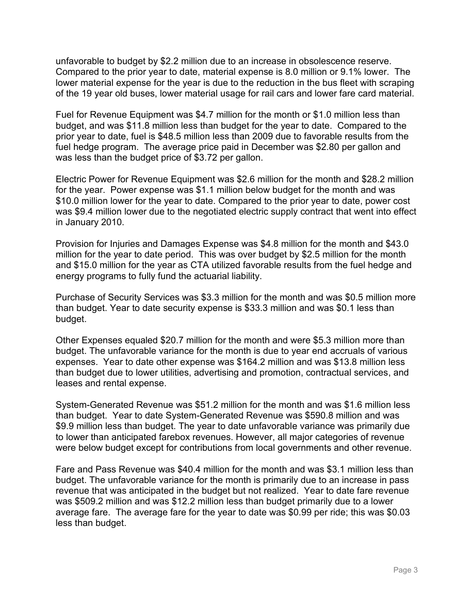unfavorable to budget by \$2.2 million due to an increase in obsolescence reserve. Compared to the prior year to date, material expense is 8.0 million or 9.1% lower. The lower material expense for the year is due to the reduction in the bus fleet with scraping of the 19 year old buses, lower material usage for rail cars and lower fare card material.

Fuel for Revenue Equipment was \$4.7 million for the month or \$1.0 million less than budget, and was \$11.8 million less than budget for the year to date. Compared to the prior year to date, fuel is \$48.5 million less than 2009 due to favorable results from the fuel hedge program. The average price paid in December was \$2.80 per gallon and was less than the budget price of \$3.72 per gallon.

Electric Power for Revenue Equipment was \$2.6 million for the month and \$28.2 million for the year. Power expense was \$1.1 million below budget for the month and was \$10.0 million lower for the year to date. Compared to the prior year to date, power cost was \$9.4 million lower due to the negotiated electric supply contract that went into effect in January 2010.

Provision for Injuries and Damages Expense was \$4.8 million for the month and \$43.0 million for the year to date period. This was over budget by \$2.5 million for the month and \$15.0 million for the year as CTA utilized favorable results from the fuel hedge and energy programs to fully fund the actuarial liability.

Purchase of Security Services was \$3.3 million for the month and was \$0.5 million more than budget. Year to date security expense is \$33.3 million and was \$0.1 less than budget.

Other Expenses equaled \$20.7 million for the month and were \$5.3 million more than budget. The unfavorable variance for the month is due to year end accruals of various expenses. Year to date other expense was \$164.2 million and was \$13.8 million less than budget due to lower utilities, advertising and promotion, contractual services, and leases and rental expense.

System-Generated Revenue was \$51.2 million for the month and was \$1.6 million less than budget. Year to date System-Generated Revenue was \$590.8 million and was \$9.9 million less than budget. The year to date unfavorable variance was primarily due to lower than anticipated farebox revenues. However, all major categories of revenue were below budget except for contributions from local governments and other revenue.

Fare and Pass Revenue was \$40.4 million for the month and was \$3.1 million less than budget. The unfavorable variance for the month is primarily due to an increase in pass revenue that was anticipated in the budget but not realized. Year to date fare revenue was \$509.2 million and was \$12.2 million less than budget primarily due to a lower average fare. The average fare for the year to date was \$0.99 per ride; this was \$0.03 less than budget.